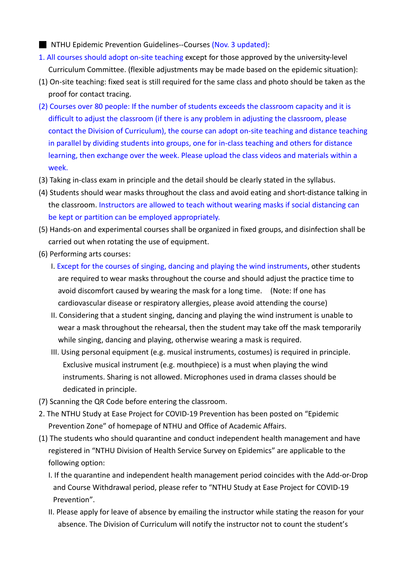- NTHU Epidemic Prevention Guidelines--Courses (Nov. 3 updated):
- 1. All courses should adopt on-site teaching except for those approved by the university-level Curriculum Committee. (flexible adjustments may be made based on the epidemic situation):
- (1) On-site teaching: fixed seat is still required for the same class and photo should be taken as the proof for contact tracing.
- (2) Courses over 80 people: If the number of students exceeds the classroom capacity and it is difficult to adjust the classroom (if there is any problem in adjusting the classroom, please contact the Division of Curriculum), the course can adopt on-site teaching and distance teaching in parallel by dividing students into groups, one for in-class teaching and others for distance learning, then exchange over the week. Please upload the class videos and materials within a week.
- (3) Taking in-class exam in principle and the detail should be clearly stated in the syllabus.
- (4) Students should wear masks throughout the class and avoid eating and short-distance talking in the classroom. Instructors are allowed to teach without wearing masks if social distancing can be kept or partition can be employed appropriately.
- (5) Hands-on and experimental courses shall be organized in fixed groups, and disinfection shall be carried out when rotating the use of equipment.
- (6) Performing arts courses:
	- I. Except for the courses of singing, dancing and playing the wind instruments, other students are required to wear masks throughout the course and should adjust the practice time to avoid discomfort caused by wearing the mask for a long time. (Note: If one has cardiovascular disease or respiratory allergies, please avoid attending the course)
	- II. Considering that a student singing, dancing and playing the wind instrument is unable to wear a mask throughout the rehearsal, then the student may take off the mask temporarily while singing, dancing and playing, otherwise wearing a mask is required.
	- III. Using personal equipment (e.g. musical instruments, costumes) is required in principle. Exclusive musical instrument (e.g. mouthpiece) is a must when playing the wind instruments. Sharing is not allowed. Microphones used in drama classes should be dedicated in principle.
- (7) Scanning the QR Code before entering the classroom.
- 2. The NTHU Study at Ease Project for COVID-19 Prevention has been posted on "Epidemic Prevention Zone" of homepage of NTHU and Office of Academic Affairs.
- (1) The students who should quarantine and conduct independent health management and have registered in "NTHU Division of Health Service Survey on Epidemics" are applicable to the following option:
	- I. If the quarantine and independent health management period coincides with the Add-or-Drop and Course Withdrawal period, please refer to "NTHU Study at Ease Project for COVID-19 Prevention".
	- II. Please apply for leave of absence by emailing the instructor while stating the reason for your absence. The Division of Curriculum will notify the instructor not to count the student's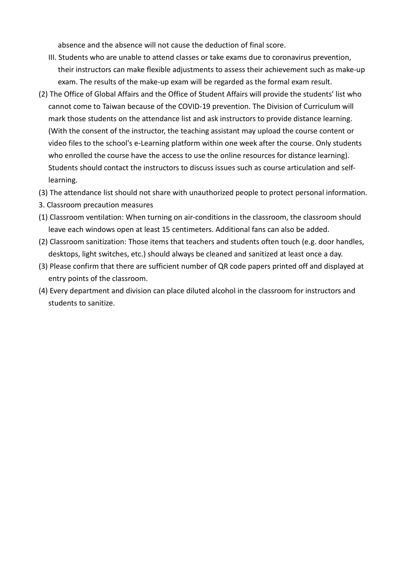absence and the absence will not cause the deduction of final score.

- III. Students who are unable to attend classes or take exams due to coronavirus prevention, their instructors can make flexible adjustments to assess their achievement such as make-up exam. The results of the make-up exam will be regarded as the formal exam result.
- (2) The Office of Global Affairs and the Office of Student Affairs will provide the students' list who cannot come to Taiwan because of the COVID-19 prevention. The Division of Curriculum will mark those students on the attendance list and ask instructors to provide distance learning. (With the consent of the instructor, the teaching assistant may upload the course content or video files to the school's e-Learning platform within one week after the course. Only students who enrolled the course have the access to use the online resources for distance learning). Students should contact the instructors to discuss issues such as course articulation and selflearning.
- (3) The attendance list should not share with unauthorized people to protect personal information.
- 3. Classroom precaution measures
- (1) Classroom ventilation: When turning on air-conditions in the classroom, the classroom should leave each windows open at least 15 centimeters. Additional fans can also be added.
- (2) Classroom sanitization: Those items that teachers and students often touch (e.g. door handles, desktops, light switches, etc.) should always be cleaned and sanitized at least once a day.
- (3) Please confirm that there are sufficient number of QR code papers printed off and displayed at entry points of the classroom.
- (4) Every department and division can place diluted alcohol in the classroom for instructors and students to sanitize.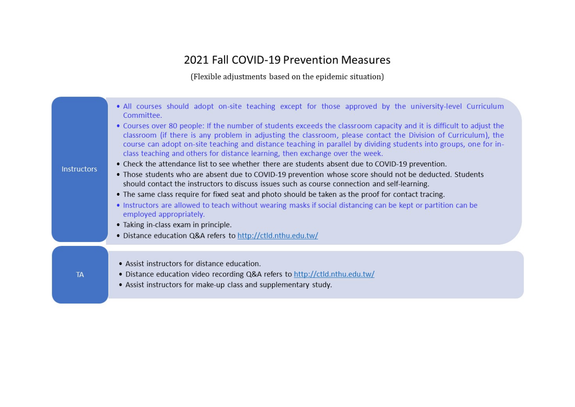## 2021 Fall COVID-19 Prevention Measures

(Flexible adjustments based on the epidemic situation)

| <b>Instructors</b> | • All courses should adopt on-site teaching except for those approved by the university-level Curriculum<br>Committee.<br>• Courses over 80 people: If the number of students exceeds the classroom capacity and it is difficult to adjust the<br>classroom (if there is any problem in adjusting the classroom, please contact the Division of Curriculum), the<br>course can adopt on-site teaching and distance teaching in parallel by dividing students into groups, one for in-<br>class teaching and others for distance learning, then exchange over the week.<br>• Check the attendance list to see whether there are students absent due to COVID-19 prevention.<br>• Those students who are absent due to COVID-19 prevention whose score should not be deducted. Students<br>should contact the instructors to discuss issues such as course connection and self-learning.<br>• The same class require for fixed seat and photo should be taken as the proof for contact tracing.<br>• Instructors are allowed to teach without wearing masks if social distancing can be kept or partition can be<br>employed appropriately.<br>• Taking in-class exam in principle.<br>• Distance education Q&A refers to http://ctld.nthu.edu.tw/ |
|--------------------|--------------------------------------------------------------------------------------------------------------------------------------------------------------------------------------------------------------------------------------------------------------------------------------------------------------------------------------------------------------------------------------------------------------------------------------------------------------------------------------------------------------------------------------------------------------------------------------------------------------------------------------------------------------------------------------------------------------------------------------------------------------------------------------------------------------------------------------------------------------------------------------------------------------------------------------------------------------------------------------------------------------------------------------------------------------------------------------------------------------------------------------------------------------------------------------------------------------------------------------------------|
| TA                 | • Assist instructors for distance education.<br>• Distance education video recording Q&A refers to http://ctld.nthu.edu.tw/<br>• Assist instructors for make-up class and supplementary study.                                                                                                                                                                                                                                                                                                                                                                                                                                                                                                                                                                                                                                                                                                                                                                                                                                                                                                                                                                                                                                                   |